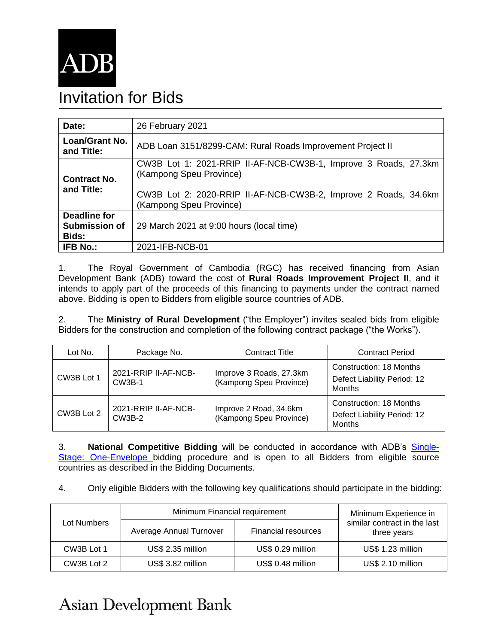

## Invitation for Bids

| Date:                                                | 26 February 2021                                                                                                                                                                         |  |  |
|------------------------------------------------------|------------------------------------------------------------------------------------------------------------------------------------------------------------------------------------------|--|--|
| <b>Loan/Grant No.</b><br>and Title:                  | ADB Loan 3151/8299-CAM: Rural Roads Improvement Project II                                                                                                                               |  |  |
| <b>Contract No.</b><br>and Title:                    | CW3B Lot 1: 2021-RRIP II-AF-NCB-CW3B-1, Improve 3 Roads, 27.3km<br>(Kampong Speu Province)<br>CW3B Lot 2: 2020-RRIP II-AF-NCB-CW3B-2, Improve 2 Roads, 34.6km<br>(Kampong Speu Province) |  |  |
| <b>Deadline for</b><br><b>Submission of</b><br>Bids: | 29 March 2021 at 9:00 hours (local time)                                                                                                                                                 |  |  |
| <b>IFB No.:</b>                                      | 2021-IFB-NCB-01                                                                                                                                                                          |  |  |

1. The Royal Government of Cambodia (RGC) has received financing from Asian Development Bank (ADB) toward the cost of **Rural Roads Improvement Project II**, and it intends to apply part of the proceeds of this financing to payments under the contract named above. Bidding is open to Bidders from eligible source countries of ADB.

2. The **Ministry of Rural Development** ("the Employer") invites sealed bids from eligible Bidders for the construction and completion of the following contract package ("the Works").

| Lot No.    | Package No.                           | <b>Contract Title</b>                              | <b>Contract Period</b>                                           |
|------------|---------------------------------------|----------------------------------------------------|------------------------------------------------------------------|
| CW3B Lot 1 | 2021-RRIP II-AF-NCB-<br><b>CW3B-1</b> | Improve 3 Roads, 27.3km<br>(Kampong Speu Province) | Construction: 18 Months<br>Defect Liability Period: 12<br>Months |
| CW3B Lot 2 | 2021-RRIP II-AF-NCB-<br><b>CW3B-2</b> | Improve 2 Road, 34.6km<br>(Kampong Speu Province)  | Construction: 18 Months<br>Defect Liability Period: 12<br>Months |

3. **National Competitive Bidding** will be conducted in accordance with ADB's [Single-](https://www.adb.org/site/business-opportunities/operational-procurement/goods-services/bidding-procedures)[Stage: One-Envelope](https://www.adb.org/site/business-opportunities/operational-procurement/goods-services/bidding-procedures) bidding procedure and is open to all Bidders from eligible source countries as described in the Bidding Documents.

4. Only eligible Bidders with the following key qualifications should participate in the bidding:

| Lot Numbers | Minimum Financial requirement | Minimum Experience in      |                                             |
|-------------|-------------------------------|----------------------------|---------------------------------------------|
|             | Average Annual Turnover       | <b>Financial resources</b> | similar contract in the last<br>three years |
| CW3B Lot 1  | US\$ 2.35 million             | US\$ 0.29 million          | US\$ 1.23 million                           |
| CW3B Lot 2  | US\$ 3.82 million             | US\$ 0.48 million          | US\$ 2.10 million                           |

## **Asian Development Bank**